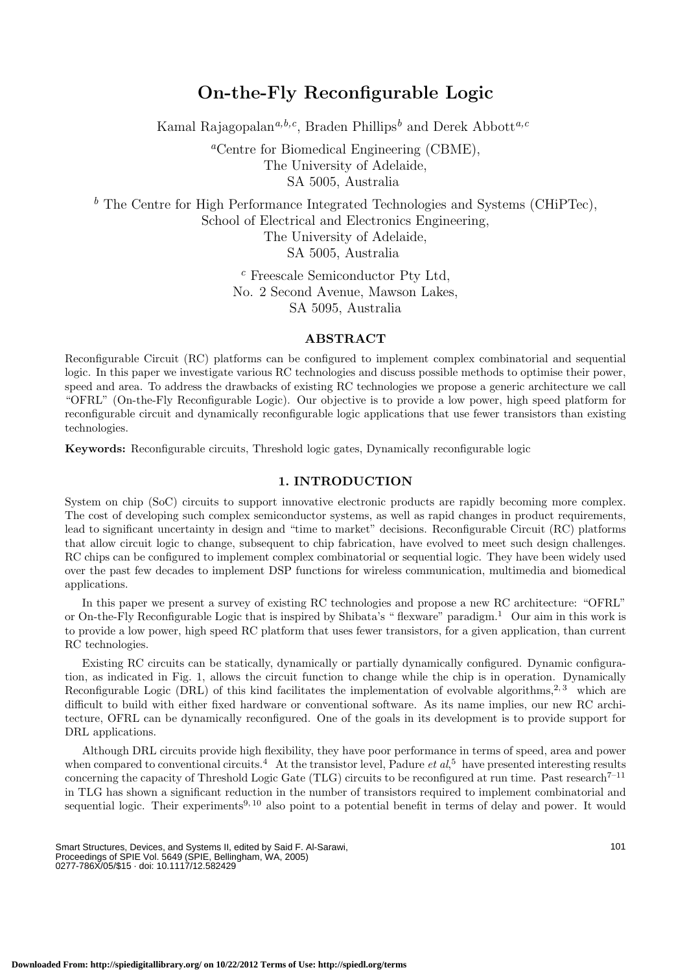# **On-the-Fly Reconfigurable Logic**

Kamal Rajagopalan*a,b,c*, Braden Phillips *<sup>b</sup>* and Derek Abbott*a,c*

*<sup>a</sup>*Centre for Biomedical Engineering (CBME), The University of Adelaide, SA 5005, Australia

*<sup>b</sup>* The Centre for High Performance Integrated Technologies and Systems (CHiPTec), School of Electrical and Electronics Engineering, The University of Adelaide, SA 5005, Australia

> *<sup>c</sup>* Freescale Semiconductor Pty Ltd, No. 2 Second Avenue, Mawson Lakes, SA 5095, Australia

### **ABSTRACT**

Reconfigurable Circuit (RC) platforms can be configured to implement complex combinatorial and sequential logic. In this paper we investigate various RC technologies and discuss possible methods to optimise their power, speed and area. To address the drawbacks of existing RC technologies we propose a generic architecture we call "OFRL" (On-the-Fly Reconfigurable Logic). Our objective is to provide a low power, high speed platform for reconfigurable circuit and dynamically reconfigurable logic applications that use fewer transistors than existing technologies.

**Keywords:** Reconfigurable circuits, Threshold logic gates, Dynamically reconfigurable logic

# **1. INTRODUCTION**

System on chip (SoC) circuits to support innovative electronic products are rapidly becoming more complex. The cost of developing such complex semiconductor systems, as well as rapid changes in product requirements, lead to significant uncertainty in design and "time to market" decisions. Reconfigurable Circuit (RC) platforms that allow circuit logic to change, subsequent to chip fabrication, have evolved to meet such design challenges. RC chips can be configured to implement complex combinatorial or sequential logic. They have been widely used over the past few decades to implement DSP functions for wireless communication, multimedia and biomedical applications.

In this paper we present a survey of existing RC technologies and propose a new RC architecture: "OFRL" or On-the-Fly Reconfigurable Logic that is inspired by Shibata's " flexware" paradigm. <sup>1</sup> Our aim in this work is to provide a low power, high speed RC platform that uses fewer transistors, for a given application, than current RC technologies.

Existing RC circuits can be statically, dynamically or partially dynamically configured. Dynamic configuration, as indicated in Fig. 1, allows the circuit function to change while the chip is in operation. Dynamically Reconfigurable Logic (DRL) of this kind facilitates the implementation of evolvable algorithms.<sup>2, 3</sup> which are difficult to build with either fixed hardware or conventional software. As its name implies, our new RC architecture, OFRL can be dynamically reconfigured. One of the goals in its development is to provide support for DRL applications.

Although DRL circuits provide high flexibility, they have poor performance in terms of speed, area and power when compared to conventional circuits.<sup>4</sup> At the transistor level, Padure *et al*,<sup>5</sup> have presented interesting results concerning the capacity of Threshold Logic Gate (TLG) circuits to be reconfigured at run time. Past research $^{7-11}$ in TLG has shown a significant reduction in the number of transistors required to implement combinatorial and sequential logic. Their experiments<sup>9, 10</sup> also point to a potential benefit in terms of delay and power. It would

Smart Structures, Devices, and Systems II, edited by Said F. Al-Sarawi, Proceedings of SPIE Vol. 5649 (SPIE, Bellingham, WA, 2005) 0277-786X/05/\$15 · doi: 10.1117/12.582429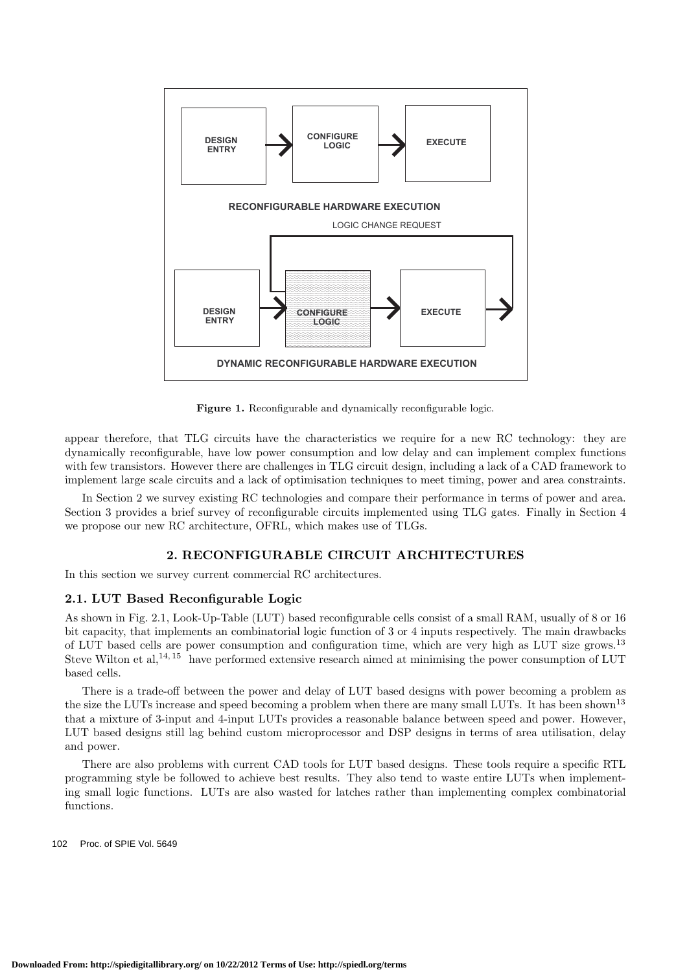

Figure 1. Reconfigurable and dynamically reconfigurable logic.

appear therefore, that TLG circuits have the characteristics we require for a new RC technology: they are dynamically reconfigurable, have low power consumption and low delay and can implement complex functions with few transistors. However there are challenges in TLG circuit design, including a lack of a CAD framework to implement large scale circuits and a lack of optimisation techniques to meet timing, power and area constraints.

In Section 2 we survey existing RC technologies and compare their performance in terms of power and area. Section 3 provides a brief survey of reconfigurable circuits implemented using TLG gates. Finally in Section 4 we propose our new RC architecture, OFRL, which makes use of TLGs.

# **2. RECONFIGURABLE CIRCUIT ARCHITECTURES**

In this section we survey current commercial RC architectures.

# **2.1. LUT Based Reconfigurable Logic**

As shown in Fig. 2.1, Look-Up-Table (LUT) based reconfigurable cells consist of a small RAM, usually of 8 or 16 bit capacity, that implements an combinatorial logic function of 3 or 4 inputs respectively. The main drawbacks of LUT based cells are power consumption and configuration time, which are very high as LUT size grows.<sup>13</sup> Steve Wilton et al,<sup>14, 15</sup> have performed extensive research aimed at minimising the power consumption of LUT based cells.

There is a trade-off between the power and delay of LUT based designs with power becoming a problem as the size the LUTs increase and speed becoming a problem when there are many small LUTs. It has been shown<sup>13</sup> that a mixture of 3-input and 4-input LUTs provides a reasonable balance between speed and power. However, LUT based designs still lag behind custom microprocessor and DSP designs in terms of area utilisation, delay and power.

There are also problems with current CAD tools for LUT based designs. These tools require a specific RTL programming style be followed to achieve best results. They also tend to waste entire LUTs when implementing small logic functions. LUTs are also wasted for latches rather than implementing complex combinatorial functions.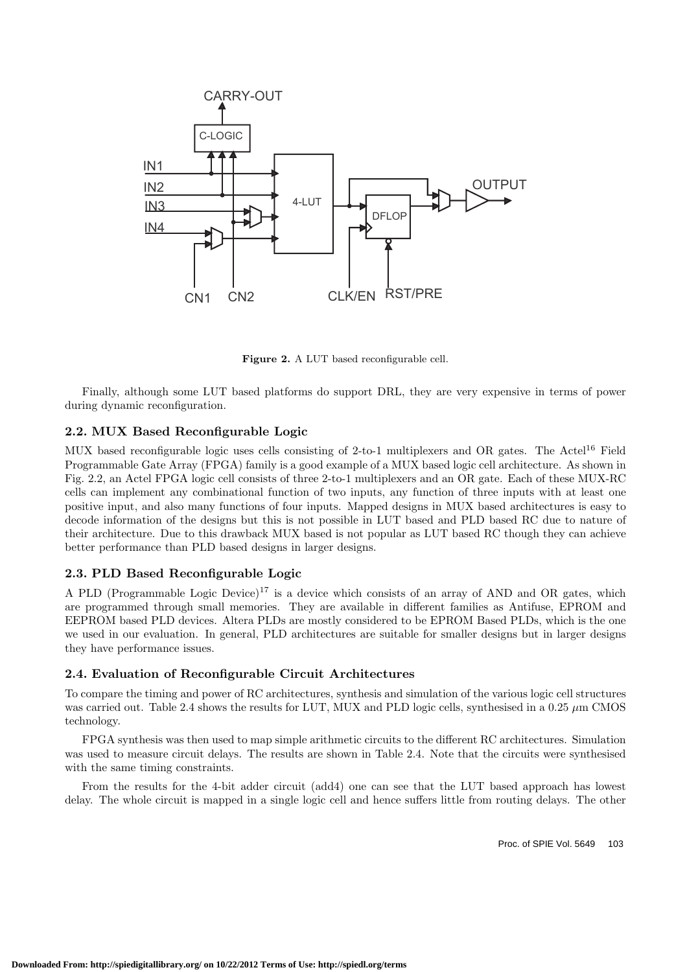

Figure 2. A LUT based reconfigurable cell.

Finally, although some LUT based platforms do support DRL, they are very expensive in terms of power during dynamic reconfiguration.

# **2.2. MUX Based Reconfigurable Logic**

MUX based reconfigurable logic uses cells consisting of 2-to-1 multiplexers and OR gates. The Actel<sup>16</sup> Field Programmable Gate Array (FPGA) family is a good example of a MUX based logic cell architecture. As shown in Fig. 2.2, an Actel FPGA logic cell consists of three 2-to-1 multiplexers and an OR gate. Each of these MUX-RC cells can implement any combinational function of two inputs, any function of three inputs with at least one positive input, and also many functions of four inputs. Mapped designs in MUX based architectures is easy to decode information of the designs but this is not possible in LUT based and PLD based RC due to nature of their architecture. Due to this drawback MUX based is not popular as LUT based RC though they can achieve better performance than PLD based designs in larger designs.

#### **2.3. PLD Based Reconfigurable Logic**

A PLD (Programmable Logic Device)<sup>17</sup> is a device which consists of an array of AND and OR gates, which are programmed through small memories. They are available in different families as Antifuse, EPROM and EEPROM based PLD devices. Altera PLDs are mostly considered to be EPROM Based PLDs, which is the one we used in our evaluation. In general, PLD architectures are suitable for smaller designs but in larger designs they have performance issues.

#### **2.4. Evaluation of Reconfigurable Circuit Architectures**

To compare the timing and power of RC architectures, synthesis and simulation of the various logic cell structures was carried out. Table 2.4 shows the results for LUT, MUX and PLD logic cells, synthesised in a 0.25  $\mu$ m CMOS technology.

FPGA synthesis was then used to map simple arithmetic circuits to the different RC architectures. Simulation was used to measure circuit delays. The results are shown in Table 2.4. Note that the circuits were synthesised with the same timing constraints.

From the results for the 4-bit adder circuit (add4) one can see that the LUT based approach has lowest delay. The whole circuit is mapped in a single logic cell and hence suffers little from routing delays. The other

Proc. of SPIE Vol. 5649 103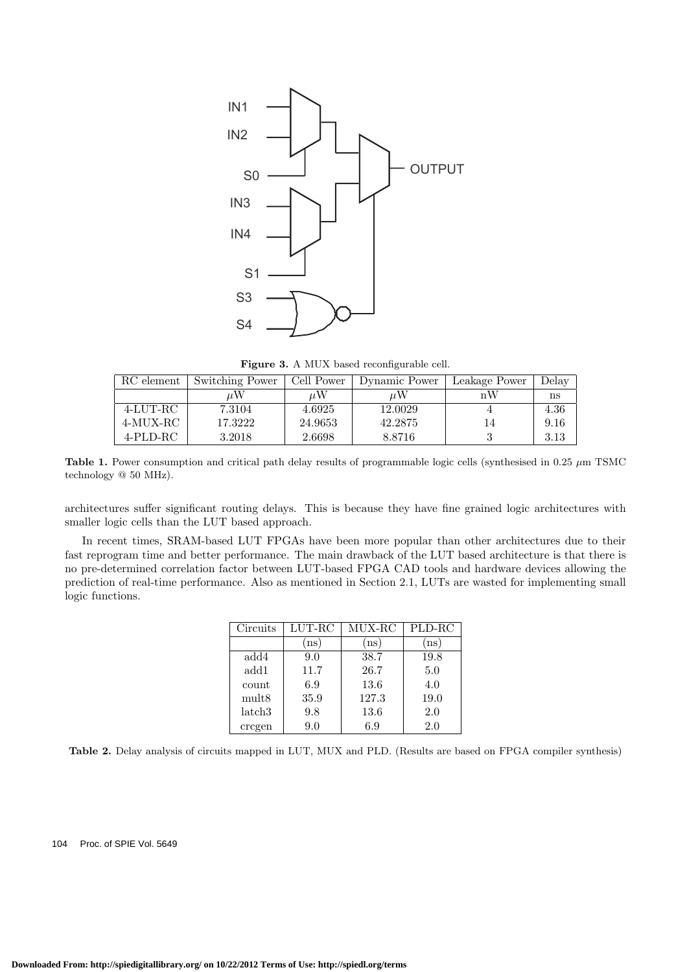

Figure 3. A MUX based reconfigurable cell.

| RC element | Switching Power | Cell Power | Dynamic Power | Leakage Power | Delay |
|------------|-----------------|------------|---------------|---------------|-------|
|            | иW              | uW         | uW            | nW            | ns    |
| 4-LUT-RC   | 7.3104          | 4.6925     | 12.0029       |               | 4.36  |
| 4-MUX-RC   | 17.3222         | 24.9653    | 42.2875       |               | 9.16  |
| 4-PLD-RC   | 3.2018          | 2.6698     | 8.8716        |               | 3.13  |

**Table 1.** Power consumption and critical path delay results of programmable logic cells (synthesised in 0.25 *<sup>µ</sup>*m TSMC technology @ 50 MHz).

architectures suffer significant routing delays. This is because they have fine grained logic architectures with smaller logic cells than the LUT based approach.

In recent times, SRAM-based LUT FPGAs have been more popular than other architectures due to their fast reprogram time and better performance. The main drawback of the LUT based architecture is that there is no pre-determined correlation factor between LUT-based FPGA CAD tools and hardware devices allowing the prediction of real-time performance. Also as mentioned in Section 2.1, LUTs are wasted for implementing small logic functions.

| Circuits           | $LUT-RC$ | MUX-RC | PLD-RC |
|--------------------|----------|--------|--------|
|                    | ns       | ns     | ns     |
| add4               | 9.0      | 38.7   | 19.8   |
| add1               | 11.7     | 26.7   | 5.0    |
| count              | 6.9      | 13.6   | 4.0    |
| mult <sub>8</sub>  | 35.9     | 127.3  | 19.0   |
| latch <sub>3</sub> | 9.8      | 13.6   | 2.0    |
| cregen             | 9.0      | 6.9    | 2.0    |

**Table 2.** Delay analysis of circuits mapped in LUT, MUX and PLD. (Results are based on FPGA compiler synthesis)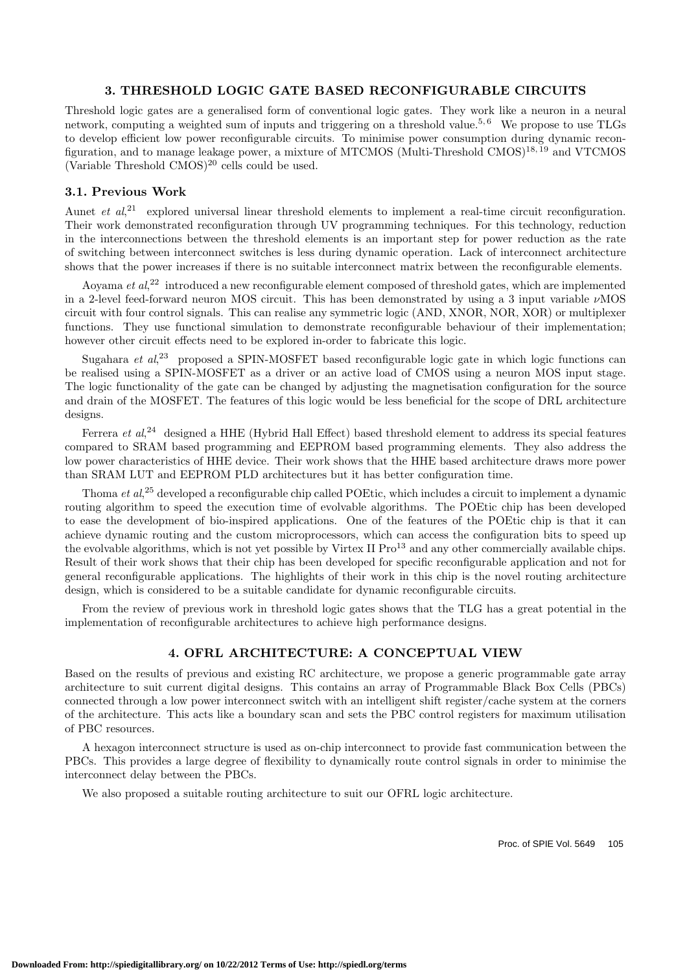# **3. THRESHOLD LOGIC GATE BASED RECONFIGURABLE CIRCUITS**

Threshold logic gates are a generalised form of conventional logic gates. They work like a neuron in a neural network, computing a weighted sum of inputs and triggering on a threshold value.<sup>5,6</sup> We propose to use TLGs to develop efficient low power reconfigurable circuits. To minimise power consumption during dynamic reconfiguration, and to manage leakage power, a mixture of MTCMOS (Multi-Threshold CMOS)<sup>18, 19</sup> and VTCMOS (Variable Threshold  $CMOS$ )<sup>20</sup> cells could be used.

# **3.1. Previous Work**

Aunet *et al*,<sup>21</sup> explored universal linear threshold elements to implement a real-time circuit reconfiguration. Their work demonstrated reconfiguration through UV programming techniques. For this technology, reduction in the interconnections between the threshold elements is an important step for power reduction as the rate of switching between interconnect switches is less during dynamic operation. Lack of interconnect architecture shows that the power increases if there is no suitable interconnect matrix between the reconfigurable elements.

Aoyama *et al*, <sup>22</sup> introduced a new reconfigurable element composed of threshold gates, which are implemented in a 2-level feed-forward neuron MOS circuit. This has been demonstrated by using a 3 input variable  $\nu$ MOS circuit with four control signals. This can realise any symmetric logic (AND, XNOR, NOR, XOR) or multiplexer functions. They use functional simulation to demonstrate reconfigurable behaviour of their implementation; however other circuit effects need to be explored in-order to fabricate this logic.

Sugahara *et al*<sup>23</sup> proposed a SPIN-MOSFET based reconfigurable logic gate in which logic functions can be realised using a SPIN-MOSFET as a driver or an active load of CMOS using a neuron MOS input stage. The logic functionality of the gate can be changed by adjusting the magnetisation configuration for the source and drain of the MOSFET. The features of this logic would be less beneficial for the scope of DRL architecture designs.

Ferrera *et al*,<sup>24</sup> designed a HHE (Hybrid Hall Effect) based threshold element to address its special features compared to SRAM based programming and EEPROM based programming elements. They also address the low power characteristics of HHE device. Their work shows that the HHE based architecture draws more power than SRAM LUT and EEPROM PLD architectures but it has better configuration time.

Thoma *et al*, <sup>25</sup> developed a reconfigurable chip called POEtic, which includes a circuit to implement a dynamic routing algorithm to speed the execution time of evolvable algorithms. The POEtic chip has been developed to ease the development of bio-inspired applications. One of the features of the POEtic chip is that it can achieve dynamic routing and the custom microprocessors, which can access the configuration bits to speed up the evolvable algorithms, which is not yet possible by Virtex II Pro<sup>13</sup> and any other commercially available chips. Result of their work shows that their chip has been developed for specific reconfigurable application and not for general reconfigurable applications. The highlights of their work in this chip is the novel routing architecture design, which is considered to be a suitable candidate for dynamic reconfigurable circuits.

From the review of previous work in threshold logic gates shows that the TLG has a great potential in the implementation of reconfigurable architectures to achieve high performance designs.

# **4. OFRL ARCHITECTURE: A CONCEPTUAL VIEW**

Based on the results of previous and existing RC architecture, we propose a generic programmable gate array architecture to suit current digital designs. This contains an array of Programmable Black Box Cells (PBCs) connected through a low power interconnect switch with an intelligent shift register/cache system at the corners of the architecture. This acts like a boundary scan and sets the PBC control registers for maximum utilisation of PBC resources.

A hexagon interconnect structure is used as on-chip interconnect to provide fast communication between the PBCs. This provides a large degree of flexibility to dynamically route control signals in order to minimise the interconnect delay between the PBCs.

We also proposed a suitable routing architecture to suit our OFRL logic architecture.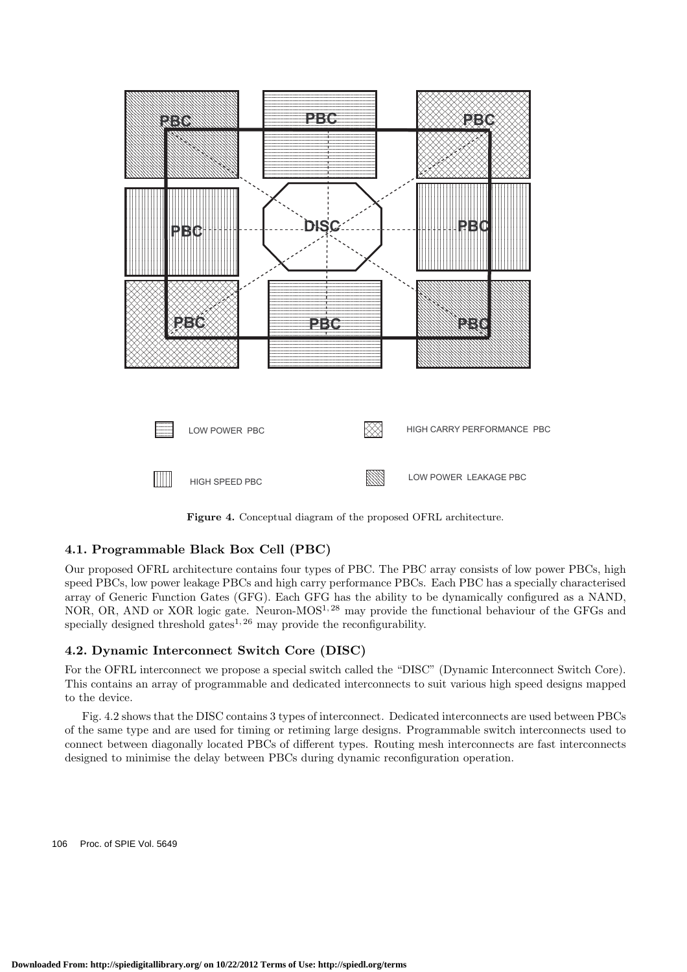

**Figure 4.** Conceptual diagram of the proposed OFRL architecture.

# **4.1. Programmable Black Box Cell (PBC)**

Our proposed OFRL architecture contains four types of PBC. The PBC array consists of low power PBCs, high speed PBCs, low power leakage PBCs and high carry performance PBCs. Each PBC has a specially characterised array of Generic Function Gates (GFG). Each GFG has the ability to be dynamically configured as a NAND, NOR, OR, AND or XOR logic gate. Neuron-MOS1, 28 may provide the functional behaviour of the GFGs and specially designed threshold gates<sup>1, 26</sup> may provide the reconfigurability.

# **4.2. Dynamic Interconnect Switch Core (DISC)**

For the OFRL interconnect we propose a special switch called the "DISC" (Dynamic Interconnect Switch Core). This contains an array of programmable and dedicated interconnects to suit various high speed designs mapped to the device.

Fig. 4.2 shows that the DISC contains 3 types of interconnect. Dedicated interconnects are used between PBCs of the same type and are used for timing or retiming large designs. Programmable switch interconnects used to connect between diagonally located PBCs of different types. Routing mesh interconnects are fast interconnects designed to minimise the delay between PBCs during dynamic reconfiguration operation.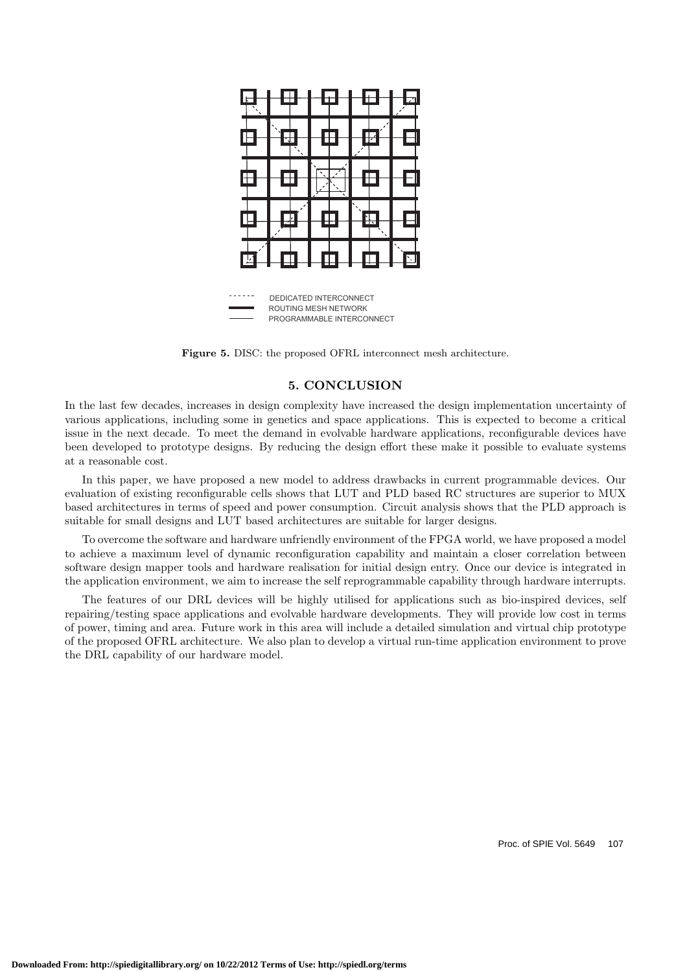

ROUTING MESH NETWORK PROGRAMMABLE INTERCONNECT

**Figure 5.** DISC: the proposed OFRL interconnect mesh architecture.

#### **5. CONCLUSION**

In the last few decades, increases in design complexity have increased the design implementation uncertainty of various applications, including some in genetics and space applications. This is expected to become a critical issue in the next decade. To meet the demand in evolvable hardware applications, reconfigurable devices have been developed to prototype designs. By reducing the design effort these make it possible to evaluate systems at a reasonable cost.

In this paper, we have proposed a new model to address drawbacks in current programmable devices. Our evaluation of existing reconfigurable cells shows that LUT and PLD based RC structures are superior to MUX based architectures in terms of speed and power consumption. Circuit analysis shows that the PLD approach is suitable for small designs and LUT based architectures are suitable for larger designs.

To overcome the software and hardware unfriendly environment of the FPGA world, we have proposed a model to achieve a maximum level of dynamic reconfiguration capability and maintain a closer correlation between software design mapper tools and hardware realisation for initial design entry. Once our device is integrated in the application environment, we aim to increase the self reprogrammable capability through hardware interrupts.

The features of our DRL devices will be highly utilised for applications such as bio-inspired devices, self repairing/testing space applications and evolvable hardware developments. They will provide low cost in terms of power, timing and area. Future work in this area will include a detailed simulation and virtual chip prototype of the proposed OFRL architecture. We also plan to develop a virtual run-time application environment to prove the DRL capability of our hardware model.

Proc. of SPIE Vol. 5649 107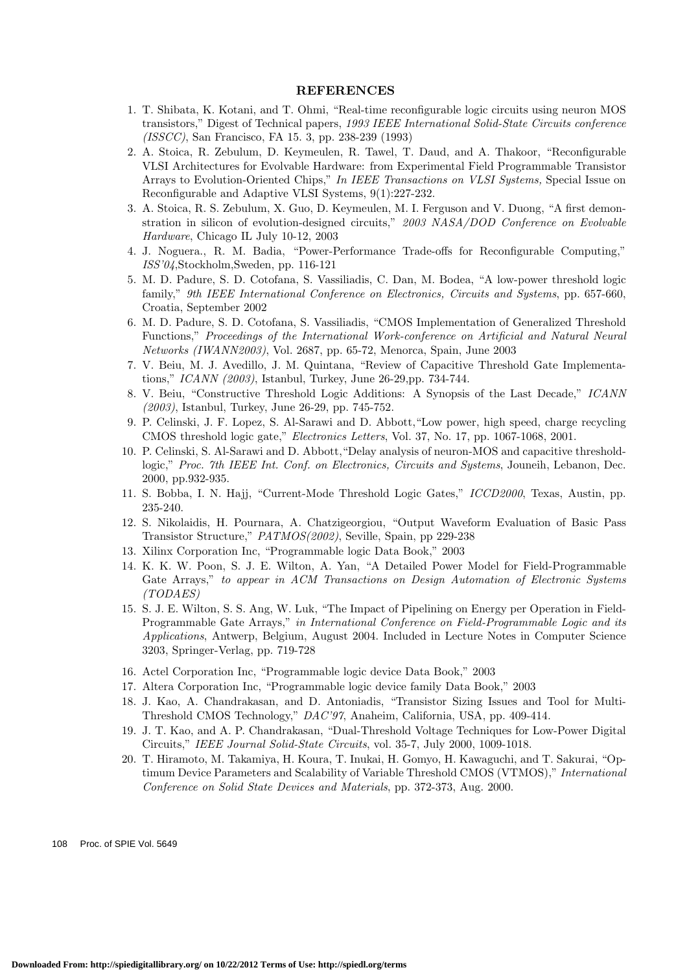#### **REFERENCES**

- 1. T. Shibata, K. Kotani, and T. Ohmi, "Real-time reconfigurable logic circuits using neuron MOS transistors," Digest of Technical papers, *1993 IEEE International Solid-State Circuits conference (ISSCC)*, San Francisco, FA 15. 3, pp. 238-239 (1993)
- 2. A. Stoica, R. Zebulum, D. Keymeulen, R. Tawel, T. Daud, and A. Thakoor, "Reconfigurable VLSI Architectures for Evolvable Hardware: from Experimental Field Programmable Transistor Arrays to Evolution-Oriented Chips," *In IEEE Transactions on VLSI Systems,* Special Issue on Reconfigurable and Adaptive VLSI Systems, 9(1):227-232.
- 3. A. Stoica, R. S. Zebulum, X. Guo, D. Keymeulen, M. I. Ferguson and V. Duong, "A first demonstration in silicon of evolution-designed circuits," *2003 NASA/DOD Conference on Evolvable Hardware*, Chicago IL July 10-12, 2003
- 4. J. Noguera., R. M. Badia, "Power-Performance Trade-offs for Reconfigurable Computing," *ISS'04*,Stockholm,Sweden, pp. 116-121
- 5. M. D. Padure, S. D. Cotofana, S. Vassiliadis, C. Dan, M. Bodea, "A low-power threshold logic family," *9th IEEE International Conference on Electronics, Circuits and Systems*, pp. 657-660, Croatia, September 2002
- 6. M. D. Padure, S. D. Cotofana, S. Vassiliadis, "CMOS Implementation of Generalized Threshold Functions," *Proceedings of the International Work-conference on Artificial and Natural Neural Networks (IWANN2003)*, Vol. 2687, pp. 65-72, Menorca, Spain, June 2003
- 7. V. Beiu, M. J. Avedillo, J. M. Quintana, "Review of Capacitive Threshold Gate Implementations," *ICANN (2003)*, Istanbul, Turkey, June 26-29,pp. 734-744.
- 8. V. Beiu, "Constructive Threshold Logic Additions: A Synopsis of the Last Decade," *ICANN (2003)*, Istanbul, Turkey, June 26-29, pp. 745-752.
- 9. P. Celinski, J. F. Lopez, S. Al-Sarawi and D. Abbott,"Low power, high speed, charge recycling CMOS threshold logic gate," *Electronics Letters*, Vol. 37, No. 17, pp. 1067-1068, 2001.
- 10. P. Celinski, S. Al-Sarawi and D. Abbott,"Delay analysis of neuron-MOS and capacitive thresholdlogic," *Proc. 7th IEEE Int. Conf. on Electronics, Circuits and Systems*, Jouneih, Lebanon, Dec. 2000, pp.932-935.
- 11. S. Bobba, I. N. Hajj, "Current-Mode Threshold Logic Gates," *ICCD2000*, Texas, Austin, pp. 235-240.
- 12. S. Nikolaidis, H. Pournara, A. Chatzigeorgiou, "Output Waveform Evaluation of Basic Pass Transistor Structure," *PATMOS(2002)*, Seville, Spain, pp 229-238
- 13. Xilinx Corporation Inc, "Programmable logic Data Book," 2003
- 14. K. K. W. Poon, S. J. E. Wilton, A. Yan, "A Detailed Power Model for Field-Programmable Gate Arrays," *to appear in ACM Transactions on Design Automation of Electronic Systems (TODAES)*
- 15. S. J. E. Wilton, S. S. Ang, W. Luk, "The Impact of Pipelining on Energy per Operation in Field-Programmable Gate Arrays," *in International Conference on Field-Programmable Logic and its Applications*, Antwerp, Belgium, August 2004. Included in Lecture Notes in Computer Science 3203, Springer-Verlag, pp. 719-728
- 16. Actel Corporation Inc, "Programmable logic device Data Book," 2003
- 17. Altera Corporation Inc, "Programmable logic device family Data Book," 2003
- 18. J. Kao, A. Chandrakasan, and D. Antoniadis, "Transistor Sizing Issues and Tool for Multi-Threshold CMOS Technology," *DAC'97*, Anaheim, California, USA, pp. 409-414.
- 19. J. T. Kao, and A. P. Chandrakasan, "Dual-Threshold Voltage Techniques for Low-Power Digital Circuits," *IEEE Journal Solid-State Circuits*, vol. 35-7, July 2000, 1009-1018.
- 20. T. Hiramoto, M. Takamiya, H. Koura, T. Inukai, H. Gomyo, H. Kawaguchi, and T. Sakurai, "Optimum Device Parameters and Scalability of Variable Threshold CMOS (VTMOS)," *International Conference on Solid State Devices and Materials*, pp. 372-373, Aug. 2000.